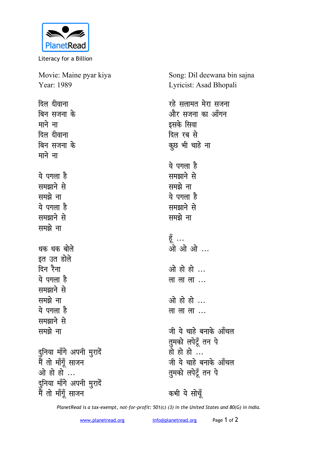

Literacy for a Billion

Movie: Maine pyar kiya Year: 1989 Song: Dil deewana bin sajna Lyricist: Asad Bhopali <u>दिल दीवाना</u> <u>बिन सजना</u> के माने ना **दिल** दीवाना <u>बिन सजना के</u> माने ना <u>ये पगला है</u> **led**<br>Reports the **led**<br>Report ये पगला है **समझाने** से समझे ना **धक धक बोले** इत उत डोले <u>दिन रैना</u> <u>ये पगला है</u> **led**<br>Reports the समझे ना <u>ये पगला है</u> **समझाने** से **led**<br>Reports दुनिया माँगे अपनी <u>म</u>ुरादें <u>मैं</u> तो माँगूँ साजन <u>ओ हो हों ...</u> दुनिया माँगे अपनी मुरादें <u>मैं</u> तो माँगूँ साजन रहे सलामत मेरा स**जना** <u>और सजना का आँगन</u> इसके सिवा **दिल रब से** कूछ भी चाहे ना <u>ये पगला है</u> समझाने से समझे ना <u>ये पगला है</u> **langing** समझे ना हूँ ... ओ ओ ओ ... <u>ओ हो हो ...</u> ला ला ला ... <u>ओ हो हो ...</u> लालाला... जी ये चाहे बनाके ऑचल तुमको लपेटूँ तन पे हो हो हो ... जी ये चाहे बनाके आँचल **तुमको लपेटूँ** तन पे कभी ये सोचूँ

*PlanetRead is a tax-exempt, not-for-profit: 501(c) (3) in the United States and 80(G) in India.*